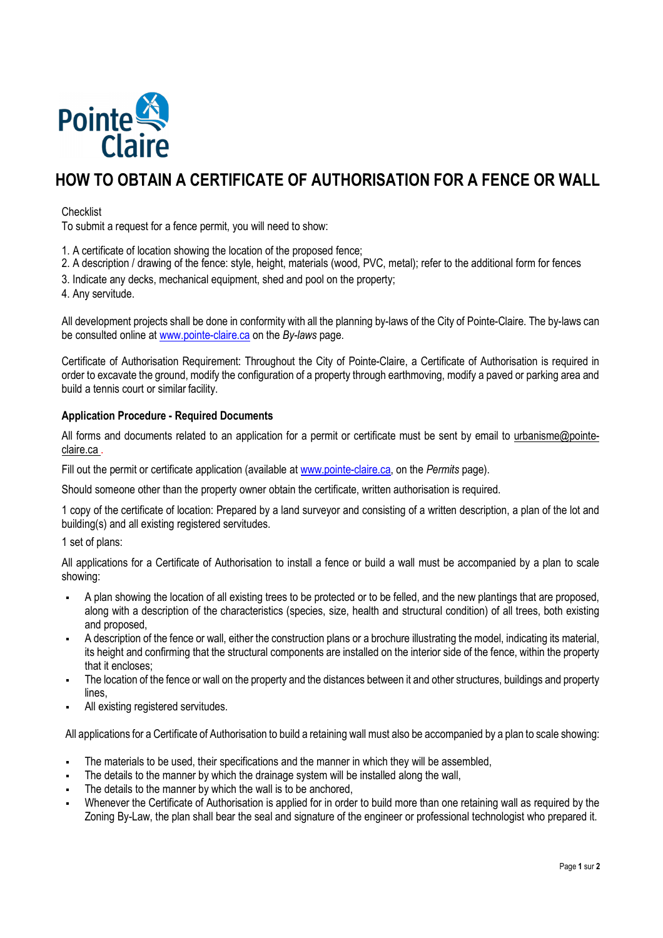

# **HOW TO OBTAIN A CERTIFICATE OF AUTHORISATION FOR A FENCE OR WALL**

# **Checklist**

To submit a request for a fence permit, you will need to show:

- 1. A certificate of location showing the location of the proposed fence;
- 2. A description / drawing of the fence: style, height, materials (wood, PVC, metal); refer to the additional form for fences
- 3. Indicate any decks, mechanical equipment, shed and pool on the property;
- 4. Any servitude.

All development projects shall be done in conformity with all the planning by-laws of the City of Pointe-Claire. The by-laws can be consulted online at www.pointe-claire.ca on the *By-laws* page.

Certificate of Authorisation Requirement: Throughout the City of Pointe-Claire, a Certificate of Authorisation is required in order to excavate the ground, modify the configuration of a property through earthmoving, modify a paved or parking area and build a tennis court or similar facility.

### **Application Procedure - Required Documents**

All forms and documents related to an application for a permit or certificate must be sent by email to urbanisme@pointeclaire.ca .

Fill out the permit or certificate application (available at www.pointe-claire.ca, on the *Permits* page).

Should someone other than the property owner obtain the certificate, written authorisation is required.

1 copy of the certificate of location: Prepared by a land surveyor and consisting of a written description, a plan of the lot and building(s) and all existing registered servitudes.

1 set of plans:

All applications for a Certificate of Authorisation to install a fence or build a wall must be accompanied by a plan to scale showing:

- A plan showing the location of all existing trees to be protected or to be felled, and the new plantings that are proposed, along with a description of the characteristics (species, size, health and structural condition) of all trees, both existing and proposed,
- A description of the fence or wall, either the construction plans or a brochure illustrating the model, indicating its material, its height and confirming that the structural components are installed on the interior side of the fence, within the property that it encloses;
- The location of the fence or wall on the property and the distances between it and other structures, buildings and property lines,
- All existing registered servitudes.

All applications for a Certificate of Authorisation to build a retaining wall must also be accompanied by a plan to scale showing:

- The materials to be used, their specifications and the manner in which they will be assembled,
- The details to the manner by which the drainage system will be installed along the wall,
- The details to the manner by which the wall is to be anchored,
- Whenever the Certificate of Authorisation is applied for in order to build more than one retaining wall as required by the Zoning By-Law, the plan shall bear the seal and signature of the engineer or professional technologist who prepared it.